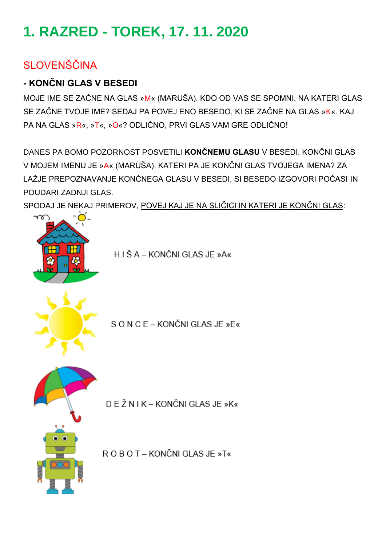# **1. RAZRED - TOREK, 17. 11. 2020**

## SI OVENŠČINA

### **- KONČNI GLAS V BESEDI**

MOJE IME SE ZAČNE NA GLAS »M« (MARUŠA). KDO OD VAS SE SPOMNI, NA KATERI GLAS SE ZAČNE TVOJE IME? SEDAJ PA POVEJ ENO BESEDO, KI SE ZAČNE NA GLAS »K«. KAJ PA NA GLAS »R«, »T«, »O«? ODLIČNO, PRVI GLAS VAM GRE ODLIČNO!

DANES PA BOMO POZORNOST POSVETILI **KONČNEMU GLASU** V BESEDI. KONČNI GLAS V MOJEM IMENU JE »A« (MARUŠA). KATERI PA JE KONČNI GLAS TVOJEGA IMENA? ZA LAŽJE PREPOZNAVANJE KONČNEGA GLASU V BESEDI, SI BESEDO IZGOVORI POČASI IN POUDARI ZADNJI GLAS.

SPODAJ JE NEKAJ PRIMEROV, POVEJ KAJ JE NA SLIČICI IN KATERI JE KONČNI GLAS:

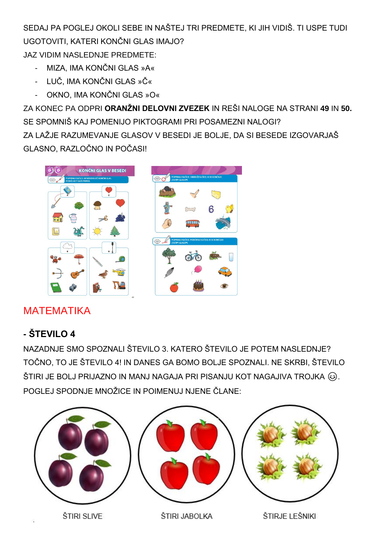SEDAJ PA POGLEJ OKOLI SEBE IN NAŠTEJ TRI PREDMETE, KI JIH VIDIŠ. TI USPE TUDI UGOTOVITI, KATERI KONČNI GLAS IMAJO? JAZ VIDIM NASLEDNJE PREDMETE:

- MIZA, IMA KONČNI GLAS »A«
- LUČ, IMA KONČNI GLAS »Č«
- OKNO, IMA KONČNI GLAS »O«

ZA KONEC PA ODPRI **ORANŽNI DELOVNI ZVEZEK** IN REŠI NALOGE NA STRANI **49** IN **50.** SE SPOMNIŠ KAJ POMENIJO PIKTOGRAMI PRI POSAMEZNI NALOGI? ZA LAŽJE RAZUMEVANJE GLASOV V BESEDI JE BOLJE, DA SI BESEDE IZGOVARJAŠ GLASNO, RAZLOČNO IN POČASI!



## MATEMATIKA

## **- ŠTEVILO 4**

NAZADNJE SMO SPOZNALI ŠTEVILO 3. KATERO ŠTEVILO JE POTEM NASLEDNJE? TOČNO, TO JE ŠTEVILO 4! IN DANES GA BOMO BOLJE SPOZNALI. NE SKRBI, ŠTEVILO ŠTIRI JE BOLJ PRIJAZNO IN MANJ NAGAJA PRI PISANJU KOT NAGAJIVA TROJKA  $\circledS$ . POGLEJ SPODNJE MNOŽICE IN POIMENUJ NJENE ČLANE:

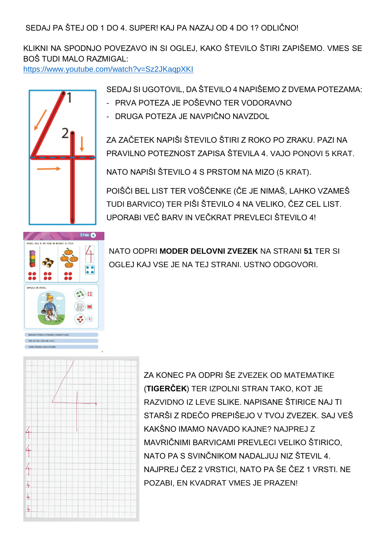SEDAJ PA ŠTEJ OD 1 DO 4. SUPER! KAJ PA NAZAJ OD 4 DO 1? ODLIČNO!

KLIKNI NA SPODNJO POVEZAVO IN SI OGLEJ, KAKO ŠTEVILO ŠTIRI ZAPIŠEMO. VMES SE BOŠ TUDI MALO RAZMIGAL:

<https://www.youtube.com/watch?v=Sz2JKaqpXKI>



SEDAJ SI UGOTOVIL, DA ŠTEVILO 4 NAPIŠEMO Z DVEMA POTEZAMA:

- PRVA POTEZA JE POŠEVNO TER VODORAVNO
- DRUGA POTEZA JE NAVPIČNO NAVZDOL

ZA ZAČETEK NAPIŠI ŠTEVILO ŠTIRI Z ROKO PO ZRAKU. PAZI NA PRAVILNO POTEZNOST ZAPISA ŠTEVILA 4. VAJO PONOVI 5 KRAT.

NATO NAPIŠI ŠTEVILO 4 S PRSTOM NA MIZO (5 KRAT).

POIŠČI BEL LIST TER VOŠČENKE (ČE JE NIMAŠ, LAHKO VZAMEŠ TUDI BARVICO) TER PIŠI ŠTEVILO 4 NA VELIKO, ČEZ CEL LIST. UPORABI VEČ BARV IN VEČKRAT PREVLECI ŠTEVILO 4!



ZAPIS STEVILKE 4 VADLY ZVEZKU

NATO ODPRI **MODER DELOVNI ZVEZEK** NA STRANI **51** TER SI OGLEJ KAJ VSE JE NA TEJ STRANI. USTNO ODGOVORI.



ZA KONEC PA ODPRI ŠE ZVEZEK OD MATEMATIKE (**TIGERČEK**) TER IZPOLNI STRAN TAKO, KOT JE RAZVIDNO IZ LEVE SLIKE. NAPISANE ŠTIRICE NAJ TI STARŠI Z RDEČO PREPIŠEJO V TVOJ ZVEZEK. SAJ VEŠ KAKŠNO IMAMO NAVADO KAJNE? NAJPREJ Z MAVRIČNIMI BARVICAMI PREVLECI VELIKO ŠTIRICO, NATO PA S SVINČNIKOM NADALJUJ NIZ ŠTEVIL 4. NAJPREJ ČEZ 2 VRSTICI, NATO PA ŠE ČEZ 1 VRSTI. NE POZABI, EN KVADRAT VMES JE PRAZEN!